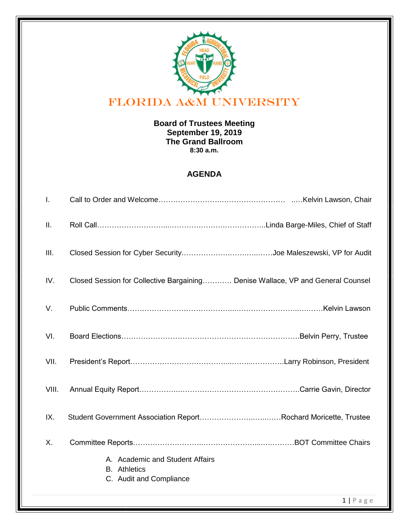

## **Board of Trustees Meeting September 19, 2019 The Grand Ballroom 8:30 a.m.**

## **AGENDA**

|       | $1   P \text{age}$                                                                |
|-------|-----------------------------------------------------------------------------------|
|       | A. Academic and Student Affairs<br><b>B.</b> Athletics<br>C. Audit and Compliance |
| Χ.    |                                                                                   |
| IX.   | Student Government Association ReportRochard Moricette, Trustee                   |
| VIII. |                                                                                   |
| VII.  |                                                                                   |
| VI.   |                                                                                   |
| V.    |                                                                                   |
| IV.   | Closed Session for Collective Bargaining Denise Wallace, VP and General Counsel   |
| Ш.    |                                                                                   |
| Ш.    |                                                                                   |
| I.    |                                                                                   |